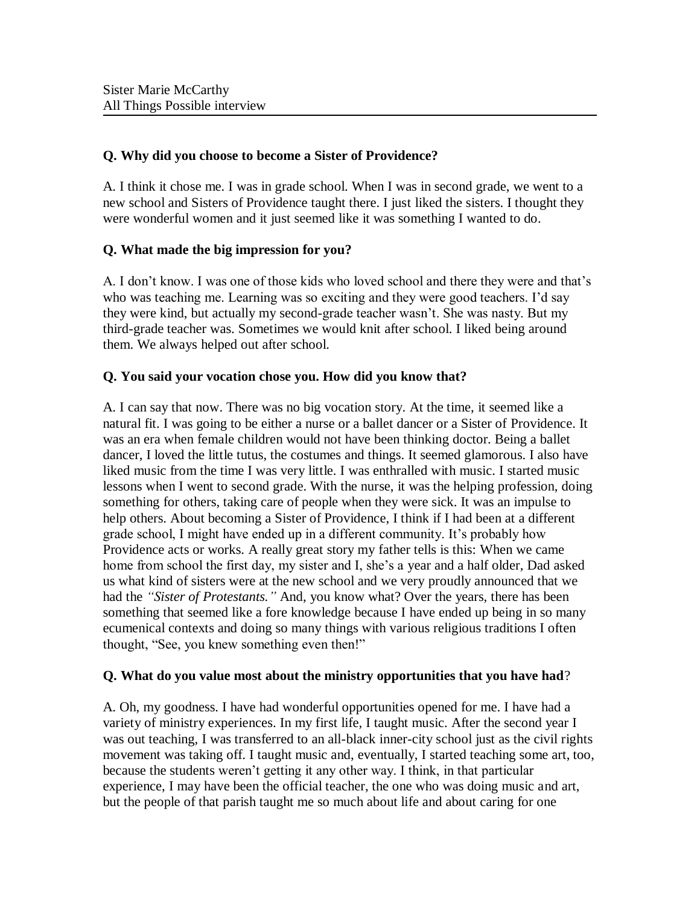### **Q. Why did you choose to become a Sister of Providence?**

A. I think it chose me. I was in grade school. When I was in second grade, we went to a new school and Sisters of Providence taught there. I just liked the sisters. I thought they were wonderful women and it just seemed like it was something I wanted to do.

### **Q. What made the big impression for you?**

A. I don't know. I was one of those kids who loved school and there they were and that's who was teaching me. Learning was so exciting and they were good teachers. I'd say they were kind, but actually my second-grade teacher wasn't. She was nasty. But my third-grade teacher was. Sometimes we would knit after school. I liked being around them. We always helped out after school.

### **Q. You said your vocation chose you. How did you know that?**

A. I can say that now. There was no big vocation story. At the time, it seemed like a natural fit. I was going to be either a nurse or a ballet dancer or a Sister of Providence. It was an era when female children would not have been thinking doctor. Being a ballet dancer, I loved the little tutus, the costumes and things. It seemed glamorous. I also have liked music from the time I was very little. I was enthralled with music. I started music lessons when I went to second grade. With the nurse, it was the helping profession, doing something for others, taking care of people when they were sick. It was an impulse to help others. About becoming a Sister of Providence, I think if I had been at a different grade school, I might have ended up in a different community. It's probably how Providence acts or works. A really great story my father tells is this: When we came home from school the first day, my sister and I, she's a year and a half older, Dad asked us what kind of sisters were at the new school and we very proudly announced that we had the *"Sister of Protestants."* And, you know what? Over the years, there has been something that seemed like a fore knowledge because I have ended up being in so many ecumenical contexts and doing so many things with various religious traditions I often thought, "See, you knew something even then!"

### **Q. What do you value most about the ministry opportunities that you have had**?

A. Oh, my goodness. I have had wonderful opportunities opened for me. I have had a variety of ministry experiences. In my first life, I taught music. After the second year I was out teaching, I was transferred to an all-black inner-city school just as the civil rights movement was taking off. I taught music and, eventually, I started teaching some art, too, because the students weren't getting it any other way. I think, in that particular experience, I may have been the official teacher, the one who was doing music and art, but the people of that parish taught me so much about life and about caring for one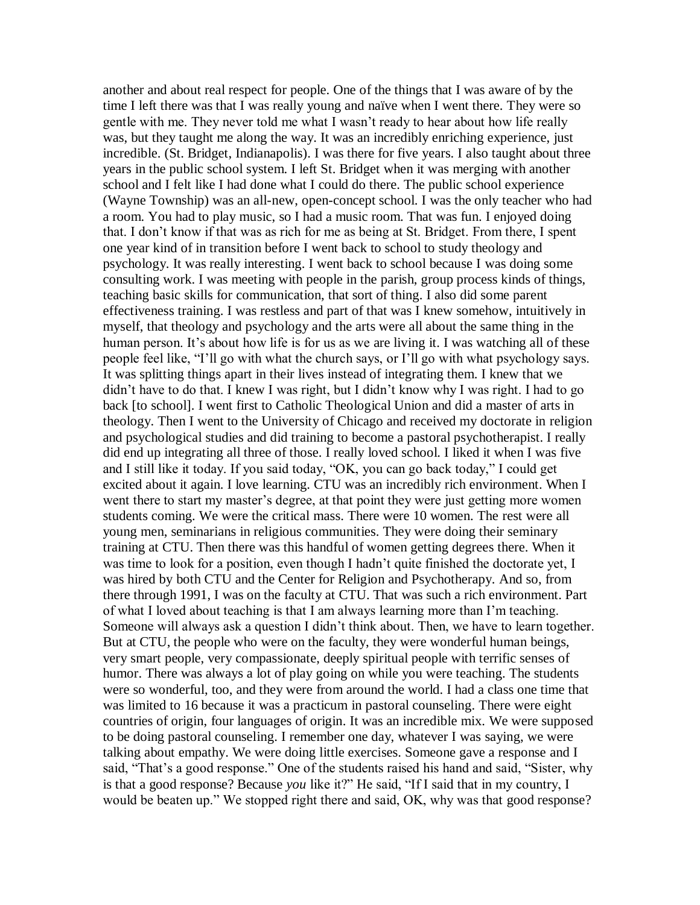another and about real respect for people. One of the things that I was aware of by the time I left there was that I was really young and naïve when I went there. They were so gentle with me. They never told me what I wasn't ready to hear about how life really was, but they taught me along the way. It was an incredibly enriching experience, just incredible. (St. Bridget, Indianapolis). I was there for five years. I also taught about three years in the public school system. I left St. Bridget when it was merging with another school and I felt like I had done what I could do there. The public school experience (Wayne Township) was an all-new, open-concept school. I was the only teacher who had a room. You had to play music, so I had a music room. That was fun. I enjoyed doing that. I don't know if that was as rich for me as being at St. Bridget. From there, I spent one year kind of in transition before I went back to school to study theology and psychology. It was really interesting. I went back to school because I was doing some consulting work. I was meeting with people in the parish, group process kinds of things, teaching basic skills for communication, that sort of thing. I also did some parent effectiveness training. I was restless and part of that was I knew somehow, intuitively in myself, that theology and psychology and the arts were all about the same thing in the human person. It's about how life is for us as we are living it. I was watching all of these people feel like, "I'll go with what the church says, or I'll go with what psychology says. It was splitting things apart in their lives instead of integrating them. I knew that we didn't have to do that. I knew I was right, but I didn't know why I was right. I had to go back [to school]. I went first to Catholic Theological Union and did a master of arts in theology. Then I went to the University of Chicago and received my doctorate in religion and psychological studies and did training to become a pastoral psychotherapist. I really did end up integrating all three of those. I really loved school. I liked it when I was five and I still like it today. If you said today, "OK, you can go back today," I could get excited about it again. I love learning. CTU was an incredibly rich environment. When I went there to start my master's degree, at that point they were just getting more women students coming. We were the critical mass. There were 10 women. The rest were all young men, seminarians in religious communities. They were doing their seminary training at CTU. Then there was this handful of women getting degrees there. When it was time to look for a position, even though I hadn't quite finished the doctorate yet, I was hired by both CTU and the Center for Religion and Psychotherapy. And so, from there through 1991, I was on the faculty at CTU. That was such a rich environment. Part of what I loved about teaching is that I am always learning more than I'm teaching. Someone will always ask a question I didn't think about. Then, we have to learn together. But at CTU, the people who were on the faculty, they were wonderful human beings, very smart people, very compassionate, deeply spiritual people with terrific senses of humor. There was always a lot of play going on while you were teaching. The students were so wonderful, too, and they were from around the world. I had a class one time that was limited to 16 because it was a practicum in pastoral counseling. There were eight countries of origin, four languages of origin. It was an incredible mix. We were supposed to be doing pastoral counseling. I remember one day, whatever I was saying, we were talking about empathy. We were doing little exercises. Someone gave a response and I said, "That's a good response." One of the students raised his hand and said, "Sister, why is that a good response? Because *you* like it?" He said, "If I said that in my country, I would be beaten up." We stopped right there and said, OK, why was that good response?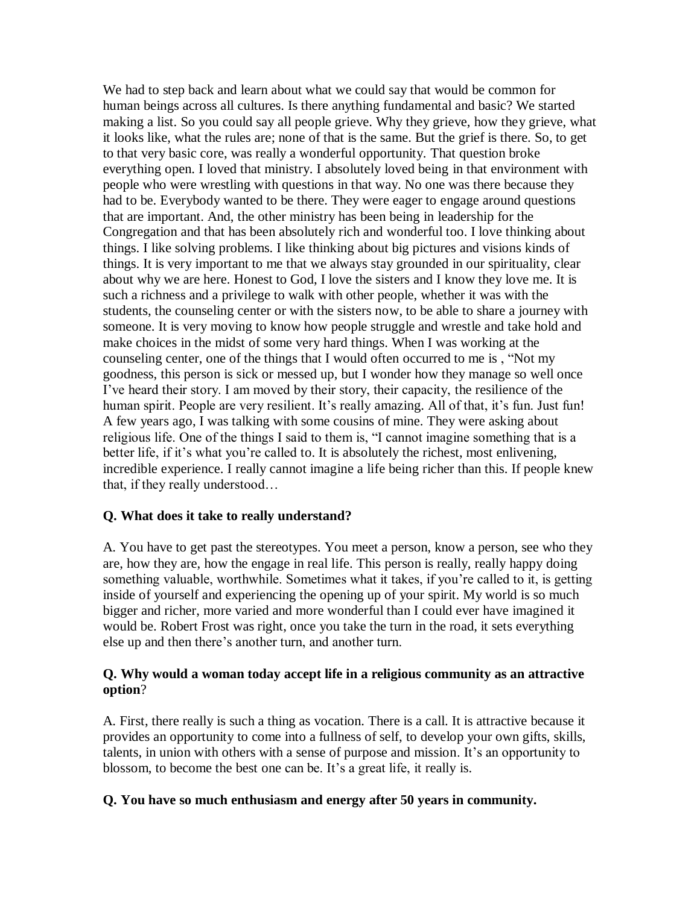We had to step back and learn about what we could say that would be common for human beings across all cultures. Is there anything fundamental and basic? We started making a list. So you could say all people grieve. Why they grieve, how they grieve, what it looks like, what the rules are; none of that is the same. But the grief is there. So, to get to that very basic core, was really a wonderful opportunity. That question broke everything open. I loved that ministry. I absolutely loved being in that environment with people who were wrestling with questions in that way. No one was there because they had to be. Everybody wanted to be there. They were eager to engage around questions that are important. And, the other ministry has been being in leadership for the Congregation and that has been absolutely rich and wonderful too. I love thinking about things. I like solving problems. I like thinking about big pictures and visions kinds of things. It is very important to me that we always stay grounded in our spirituality, clear about why we are here. Honest to God, I love the sisters and I know they love me. It is such a richness and a privilege to walk with other people, whether it was with the students, the counseling center or with the sisters now, to be able to share a journey with someone. It is very moving to know how people struggle and wrestle and take hold and make choices in the midst of some very hard things. When I was working at the counseling center, one of the things that I would often occurred to me is , "Not my goodness, this person is sick or messed up, but I wonder how they manage so well once I've heard their story. I am moved by their story, their capacity, the resilience of the human spirit. People are very resilient. It's really amazing. All of that, it's fun. Just fun! A few years ago, I was talking with some cousins of mine. They were asking about religious life. One of the things I said to them is, "I cannot imagine something that is a better life, if it's what you're called to. It is absolutely the richest, most enlivening, incredible experience. I really cannot imagine a life being richer than this. If people knew that, if they really understood…

### **Q. What does it take to really understand?**

A. You have to get past the stereotypes. You meet a person, know a person, see who they are, how they are, how the engage in real life. This person is really, really happy doing something valuable, worthwhile. Sometimes what it takes, if you're called to it, is getting inside of yourself and experiencing the opening up of your spirit. My world is so much bigger and richer, more varied and more wonderful than I could ever have imagined it would be. Robert Frost was right, once you take the turn in the road, it sets everything else up and then there's another turn, and another turn.

#### **Q. Why would a woman today accept life in a religious community as an attractive option**?

A. First, there really is such a thing as vocation. There is a call. It is attractive because it provides an opportunity to come into a fullness of self, to develop your own gifts, skills, talents, in union with others with a sense of purpose and mission. It's an opportunity to blossom, to become the best one can be. It's a great life, it really is.

#### **Q. You have so much enthusiasm and energy after 50 years in community.**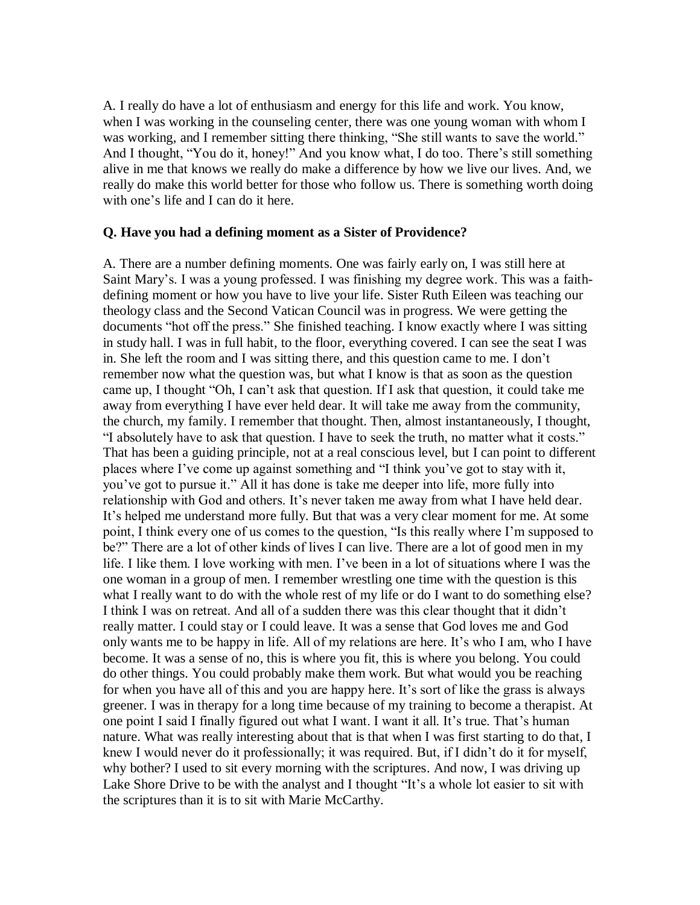A. I really do have a lot of enthusiasm and energy for this life and work. You know, when I was working in the counseling center, there was one young woman with whom I was working, and I remember sitting there thinking, "She still wants to save the world." And I thought, "You do it, honey!" And you know what, I do too. There's still something alive in me that knows we really do make a difference by how we live our lives. And, we really do make this world better for those who follow us. There is something worth doing with one's life and I can do it here.

#### **Q. Have you had a defining moment as a Sister of Providence?**

A. There are a number defining moments. One was fairly early on, I was still here at Saint Mary's. I was a young professed. I was finishing my degree work. This was a faithdefining moment or how you have to live your life. Sister Ruth Eileen was teaching our theology class and the Second Vatican Council was in progress. We were getting the documents "hot off the press." She finished teaching. I know exactly where I was sitting in study hall. I was in full habit, to the floor, everything covered. I can see the seat I was in. She left the room and I was sitting there, and this question came to me. I don't remember now what the question was, but what I know is that as soon as the question came up, I thought "Oh, I can't ask that question. If I ask that question, it could take me away from everything I have ever held dear. It will take me away from the community, the church, my family. I remember that thought. Then, almost instantaneously, I thought, "I absolutely have to ask that question. I have to seek the truth, no matter what it costs." That has been a guiding principle, not at a real conscious level, but I can point to different places where I've come up against something and "I think you've got to stay with it, you've got to pursue it." All it has done is take me deeper into life, more fully into relationship with God and others. It's never taken me away from what I have held dear. It's helped me understand more fully. But that was a very clear moment for me. At some point, I think every one of us comes to the question, "Is this really where I'm supposed to be?" There are a lot of other kinds of lives I can live. There are a lot of good men in my life. I like them. I love working with men. I've been in a lot of situations where I was the one woman in a group of men. I remember wrestling one time with the question is this what I really want to do with the whole rest of my life or do I want to do something else? I think I was on retreat. And all of a sudden there was this clear thought that it didn't really matter. I could stay or I could leave. It was a sense that God loves me and God only wants me to be happy in life. All of my relations are here. It's who I am, who I have become. It was a sense of no, this is where you fit, this is where you belong. You could do other things. You could probably make them work. But what would you be reaching for when you have all of this and you are happy here. It's sort of like the grass is always greener. I was in therapy for a long time because of my training to become a therapist. At one point I said I finally figured out what I want. I want it all. It's true. That's human nature. What was really interesting about that is that when I was first starting to do that, I knew I would never do it professionally; it was required. But, if I didn't do it for myself, why bother? I used to sit every morning with the scriptures. And now, I was driving up Lake Shore Drive to be with the analyst and I thought "It's a whole lot easier to sit with the scriptures than it is to sit with Marie McCarthy.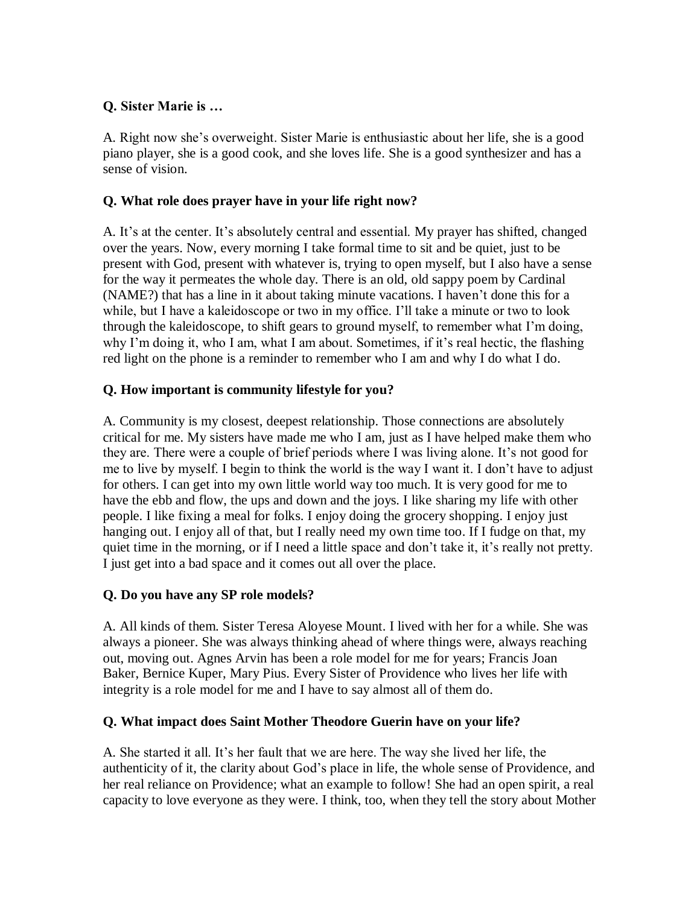### **Q. Sister Marie is …**

A. Right now she's overweight. Sister Marie is enthusiastic about her life, she is a good piano player, she is a good cook, and she loves life. She is a good synthesizer and has a sense of vision.

### **Q. What role does prayer have in your life right now?**

A. It's at the center. It's absolutely central and essential. My prayer has shifted, changed over the years. Now, every morning I take formal time to sit and be quiet, just to be present with God, present with whatever is, trying to open myself, but I also have a sense for the way it permeates the whole day. There is an old, old sappy poem by Cardinal (NAME?) that has a line in it about taking minute vacations. I haven't done this for a while, but I have a kaleidoscope or two in my office. I'll take a minute or two to look through the kaleidoscope, to shift gears to ground myself, to remember what I'm doing, why I'm doing it, who I am, what I am about. Sometimes, if it's real hectic, the flashing red light on the phone is a reminder to remember who I am and why I do what I do.

# **Q. How important is community lifestyle for you?**

A. Community is my closest, deepest relationship. Those connections are absolutely critical for me. My sisters have made me who I am, just as I have helped make them who they are. There were a couple of brief periods where I was living alone. It's not good for me to live by myself. I begin to think the world is the way I want it. I don't have to adjust for others. I can get into my own little world way too much. It is very good for me to have the ebb and flow, the ups and down and the joys. I like sharing my life with other people. I like fixing a meal for folks. I enjoy doing the grocery shopping. I enjoy just hanging out. I enjoy all of that, but I really need my own time too. If I fudge on that, my quiet time in the morning, or if I need a little space and don't take it, it's really not pretty. I just get into a bad space and it comes out all over the place.

### **Q. Do you have any SP role models?**

A. All kinds of them. Sister Teresa Aloyese Mount. I lived with her for a while. She was always a pioneer. She was always thinking ahead of where things were, always reaching out, moving out. Agnes Arvin has been a role model for me for years; Francis Joan Baker, Bernice Kuper, Mary Pius. Every Sister of Providence who lives her life with integrity is a role model for me and I have to say almost all of them do.

### **Q. What impact does Saint Mother Theodore Guerin have on your life?**

A. She started it all. It's her fault that we are here. The way she lived her life, the authenticity of it, the clarity about God's place in life, the whole sense of Providence, and her real reliance on Providence; what an example to follow! She had an open spirit, a real capacity to love everyone as they were. I think, too, when they tell the story about Mother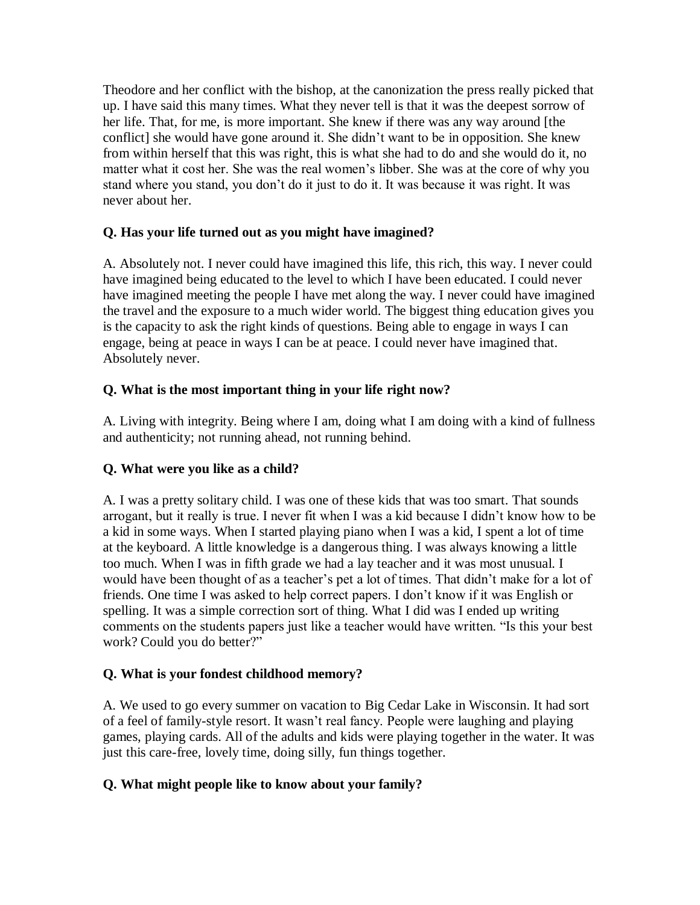Theodore and her conflict with the bishop, at the canonization the press really picked that up. I have said this many times. What they never tell is that it was the deepest sorrow of her life. That, for me, is more important. She knew if there was any way around [the conflict] she would have gone around it. She didn't want to be in opposition. She knew from within herself that this was right, this is what she had to do and she would do it, no matter what it cost her. She was the real women's libber. She was at the core of why you stand where you stand, you don't do it just to do it. It was because it was right. It was never about her.

### **Q. Has your life turned out as you might have imagined?**

A. Absolutely not. I never could have imagined this life, this rich, this way. I never could have imagined being educated to the level to which I have been educated. I could never have imagined meeting the people I have met along the way. I never could have imagined the travel and the exposure to a much wider world. The biggest thing education gives you is the capacity to ask the right kinds of questions. Being able to engage in ways I can engage, being at peace in ways I can be at peace. I could never have imagined that. Absolutely never.

### **Q. What is the most important thing in your life right now?**

A. Living with integrity. Being where I am, doing what I am doing with a kind of fullness and authenticity; not running ahead, not running behind.

### **Q. What were you like as a child?**

A. I was a pretty solitary child. I was one of these kids that was too smart. That sounds arrogant, but it really is true. I never fit when I was a kid because I didn't know how to be a kid in some ways. When I started playing piano when I was a kid, I spent a lot of time at the keyboard. A little knowledge is a dangerous thing. I was always knowing a little too much. When I was in fifth grade we had a lay teacher and it was most unusual. I would have been thought of as a teacher's pet a lot of times. That didn't make for a lot of friends. One time I was asked to help correct papers. I don't know if it was English or spelling. It was a simple correction sort of thing. What I did was I ended up writing comments on the students papers just like a teacher would have written. "Is this your best work? Could you do better?"

### **Q. What is your fondest childhood memory?**

A. We used to go every summer on vacation to Big Cedar Lake in Wisconsin. It had sort of a feel of family-style resort. It wasn't real fancy. People were laughing and playing games, playing cards. All of the adults and kids were playing together in the water. It was just this care-free, lovely time, doing silly, fun things together.

### **Q. What might people like to know about your family?**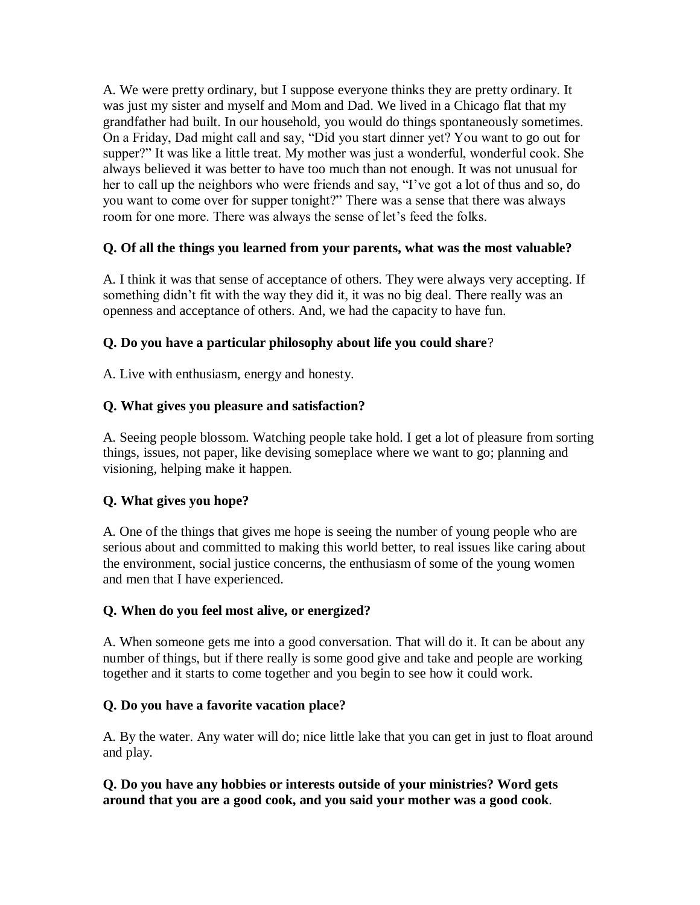A. We were pretty ordinary, but I suppose everyone thinks they are pretty ordinary. It was just my sister and myself and Mom and Dad. We lived in a Chicago flat that my grandfather had built. In our household, you would do things spontaneously sometimes. On a Friday, Dad might call and say, "Did you start dinner yet? You want to go out for supper?" It was like a little treat. My mother was just a wonderful, wonderful cook. She always believed it was better to have too much than not enough. It was not unusual for her to call up the neighbors who were friends and say, "I've got a lot of thus and so, do you want to come over for supper tonight?" There was a sense that there was always room for one more. There was always the sense of let's feed the folks.

### **Q. Of all the things you learned from your parents, what was the most valuable?**

A. I think it was that sense of acceptance of others. They were always very accepting. If something didn't fit with the way they did it, it was no big deal. There really was an openness and acceptance of others. And, we had the capacity to have fun.

### **Q. Do you have a particular philosophy about life you could share**?

A. Live with enthusiasm, energy and honesty.

### **Q. What gives you pleasure and satisfaction?**

A. Seeing people blossom. Watching people take hold. I get a lot of pleasure from sorting things, issues, not paper, like devising someplace where we want to go; planning and visioning, helping make it happen.

# **Q. What gives you hope?**

A. One of the things that gives me hope is seeing the number of young people who are serious about and committed to making this world better, to real issues like caring about the environment, social justice concerns, the enthusiasm of some of the young women and men that I have experienced.

### **Q. When do you feel most alive, or energized?**

A. When someone gets me into a good conversation. That will do it. It can be about any number of things, but if there really is some good give and take and people are working together and it starts to come together and you begin to see how it could work.

### **Q. Do you have a favorite vacation place?**

A. By the water. Any water will do; nice little lake that you can get in just to float around and play.

#### **Q. Do you have any hobbies or interests outside of your ministries? Word gets around that you are a good cook, and you said your mother was a good cook**.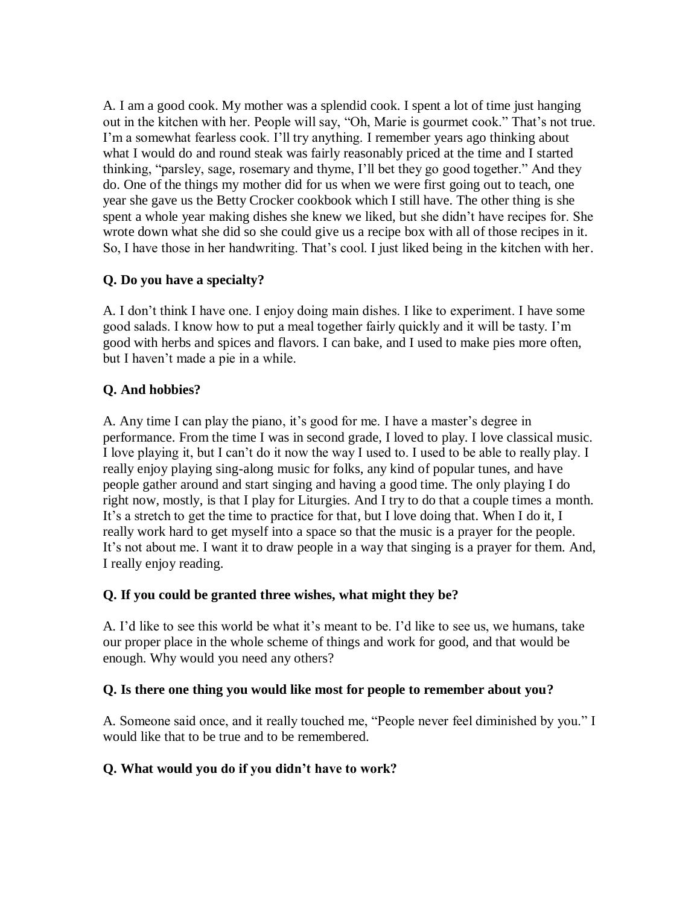A. I am a good cook. My mother was a splendid cook. I spent a lot of time just hanging out in the kitchen with her. People will say, "Oh, Marie is gourmet cook." That's not true. I'm a somewhat fearless cook. I'll try anything. I remember years ago thinking about what I would do and round steak was fairly reasonably priced at the time and I started thinking, "parsley, sage, rosemary and thyme, I'll bet they go good together." And they do. One of the things my mother did for us when we were first going out to teach, one year she gave us the Betty Crocker cookbook which I still have. The other thing is she spent a whole year making dishes she knew we liked, but she didn't have recipes for. She wrote down what she did so she could give us a recipe box with all of those recipes in it. So, I have those in her handwriting. That's cool. I just liked being in the kitchen with her.

### **Q. Do you have a specialty?**

A. I don't think I have one. I enjoy doing main dishes. I like to experiment. I have some good salads. I know how to put a meal together fairly quickly and it will be tasty. I'm good with herbs and spices and flavors. I can bake, and I used to make pies more often, but I haven't made a pie in a while.

### **Q. And hobbies?**

A. Any time I can play the piano, it's good for me. I have a master's degree in performance. From the time I was in second grade, I loved to play. I love classical music. I love playing it, but I can't do it now the way I used to. I used to be able to really play. I really enjoy playing sing-along music for folks, any kind of popular tunes, and have people gather around and start singing and having a good time. The only playing I do right now, mostly, is that I play for Liturgies. And I try to do that a couple times a month. It's a stretch to get the time to practice for that, but I love doing that. When I do it, I really work hard to get myself into a space so that the music is a prayer for the people. It's not about me. I want it to draw people in a way that singing is a prayer for them. And, I really enjoy reading.

### **Q. If you could be granted three wishes, what might they be?**

A. I'd like to see this world be what it's meant to be. I'd like to see us, we humans, take our proper place in the whole scheme of things and work for good, and that would be enough. Why would you need any others?

### **Q. Is there one thing you would like most for people to remember about you?**

A. Someone said once, and it really touched me, "People never feel diminished by you." I would like that to be true and to be remembered.

### **Q. What would you do if you didn't have to work?**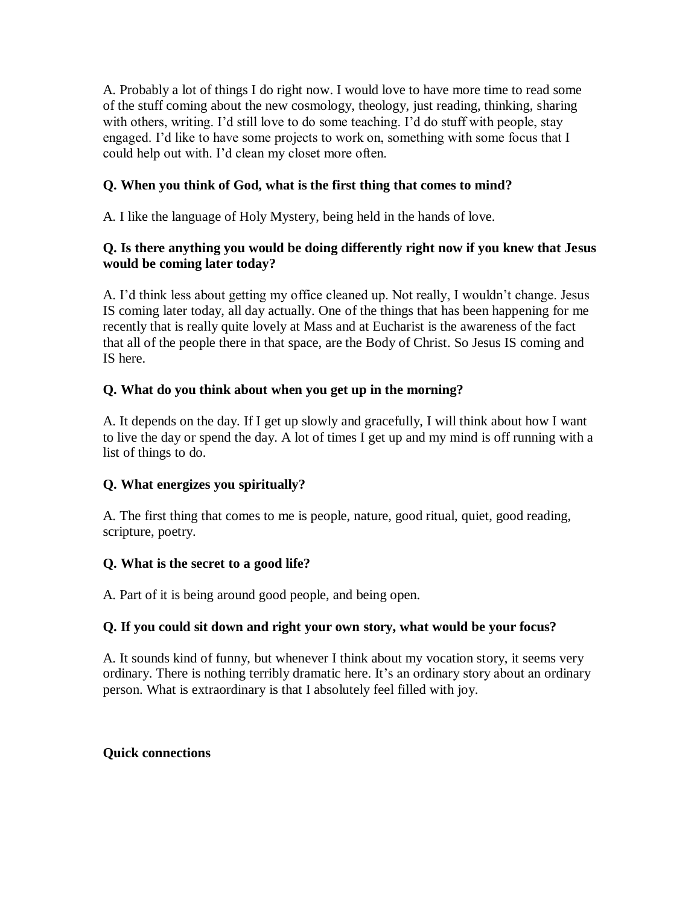A. Probably a lot of things I do right now. I would love to have more time to read some of the stuff coming about the new cosmology, theology, just reading, thinking, sharing with others, writing. I'd still love to do some teaching. I'd do stuff with people, stay engaged. I'd like to have some projects to work on, something with some focus that I could help out with. I'd clean my closet more often.

### **Q. When you think of God, what is the first thing that comes to mind?**

A. I like the language of Holy Mystery, being held in the hands of love.

### **Q. Is there anything you would be doing differently right now if you knew that Jesus would be coming later today?**

A. I'd think less about getting my office cleaned up. Not really, I wouldn't change. Jesus IS coming later today, all day actually. One of the things that has been happening for me recently that is really quite lovely at Mass and at Eucharist is the awareness of the fact that all of the people there in that space, are the Body of Christ. So Jesus IS coming and IS here.

### **Q. What do you think about when you get up in the morning?**

A. It depends on the day. If I get up slowly and gracefully, I will think about how I want to live the day or spend the day. A lot of times I get up and my mind is off running with a list of things to do.

# **Q. What energizes you spiritually?**

A. The first thing that comes to me is people, nature, good ritual, quiet, good reading, scripture, poetry.

### **Q. What is the secret to a good life?**

A. Part of it is being around good people, and being open.

### **Q. If you could sit down and right your own story, what would be your focus?**

A. It sounds kind of funny, but whenever I think about my vocation story, it seems very ordinary. There is nothing terribly dramatic here. It's an ordinary story about an ordinary person. What is extraordinary is that I absolutely feel filled with joy.

### **Quick connections**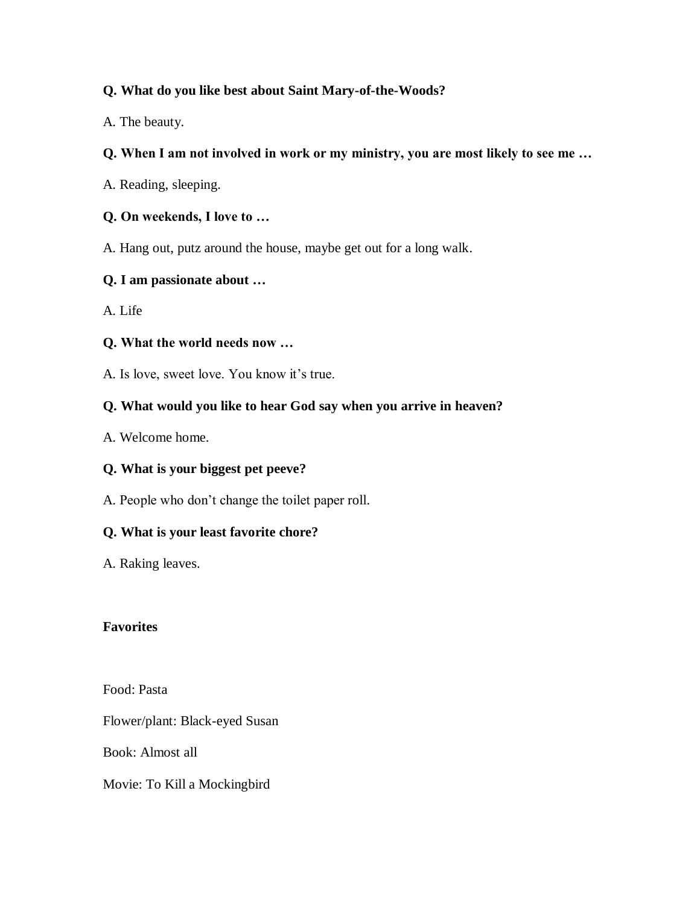### **Q. What do you like best about Saint Mary-of-the-Woods?**

A. The beauty.

### **Q. When I am not involved in work or my ministry, you are most likely to see me …**

A. Reading, sleeping.

### **Q. On weekends, I love to …**

A. Hang out, putz around the house, maybe get out for a long walk.

### **Q. I am passionate about …**

A. Life

### **Q. What the world needs now …**

A. Is love, sweet love. You know it's true.

# **Q. What would you like to hear God say when you arrive in heaven?**

A. Welcome home.

# **Q. What is your biggest pet peeve?**

A. People who don't change the toilet paper roll.

# **Q. What is your least favorite chore?**

A. Raking leaves.

### **Favorites**

Food: Pasta

Flower/plant: Black-eyed Susan

Book: Almost all

Movie: To Kill a Mockingbird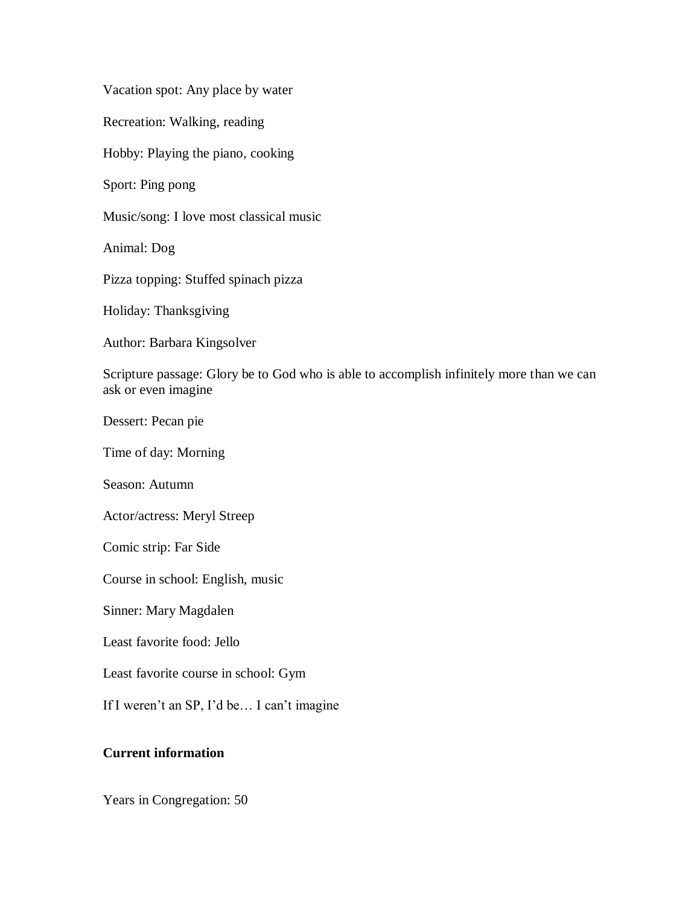Vacation spot: Any place by water

Recreation: Walking, reading

Hobby: Playing the piano, cooking

Sport: Ping pong

Music/song: I love most classical music

Animal: Dog

Pizza topping: Stuffed spinach pizza

Holiday: Thanksgiving

Author: Barbara Kingsolver

Scripture passage: Glory be to God who is able to accomplish infinitely more than we can ask or even imagine

Dessert: Pecan pie

Time of day: Morning

Season: Autumn

Actor/actress: Meryl Streep

Comic strip: Far Side

Course in school: English, music

Sinner: Mary Magdalen

Least favorite food: Jello

Least favorite course in school: Gym

If I weren't an SP, I'd be… I can't imagine

#### **Current information**

Years in Congregation: 50